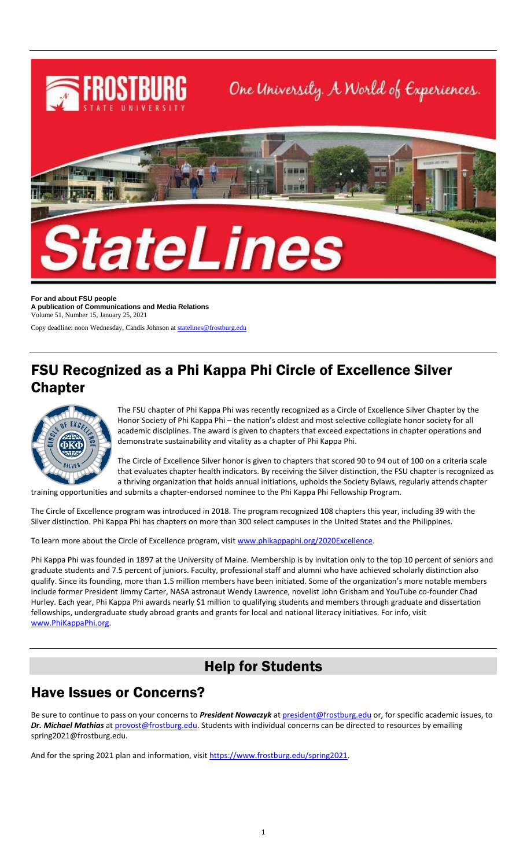

**For and about FSU people A publication of Communications and Media Relations** Volume 51, Number 15, January 25, 2021

Copy deadline: noon Wednesday, Candis Johnson a[t statelines@frostburg.edu](mailto:statelines@frostburg.edu)

### FSU Recognized as a Phi Kappa Phi Circle of Excellence Silver Chapter



The FSU chapter of Phi Kappa Phi was recently recognized as a Circle of Excellence Silver Chapter by the Honor Society of Phi Kappa Phi – the nation's oldest and most selective collegiate honor society for all academic disciplines. The award is given to chapters that exceed expectations in chapter operations and demonstrate sustainability and vitality as a chapter of Phi Kappa Phi.

The Circle of Excellence Silver honor is given to chapters that scored 90 to 94 out of 100 on a criteria scale that evaluates chapter health indicators. By receiving the Silver distinction, the FSU chapter is recognized as a thriving organization that holds annual initiations, upholds the Society Bylaws, regularly attends chapter training opportunities and submits a chapter-endorsed nominee to the Phi Kappa Phi Fellowship Program.

The Circle of Excellence program was introduced in 2018. The program recognized 108 chapters this year, including 39 with the

Silver distinction. Phi Kappa Phi has chapters on more than 300 select campuses in the United States and the Philippines.

To learn more about the Circle of Excellence program, visit [www.phikappaphi.org/2020Excellence.](http://www.phikappaphi.org/2020Excellence)

Phi Kappa Phi was founded in 1897 at the University of Maine. Membership is by invitation only to the top 10 percent of seniors and graduate students and 7.5 percent of juniors. Faculty, professional staff and alumni who have achieved scholarly distinction also qualify. Since its founding, more than 1.5 million members have been initiated. Some of the organization's more notable members include former President Jimmy Carter, NASA astronaut Wendy Lawrence, novelist John Grisham and YouTube co-founder Chad Hurley. Each year, Phi Kappa Phi awards nearly \$1 million to qualifying students and members through graduate and dissertation fellowships, undergraduate study abroad grants and grants for local and national literacy initiatives. For info, visit [www.PhiKappaPhi.org.](http://www.phikappaphi.org/)

## Help for Students

#### Have Issues or Concerns?

Be sure to continue to pass on your concerns to *President Nowaczyk* at [president@frostburg.edu](mailto:president@frostburg.edu) or, for specific academic issues, to Dr. Michael Mathias a[t provost@frostburg.edu.](mailto:provost@frostburg.edu) Students with individual concerns can be directed to resources by emailing spring2021@frostburg.edu.

And for the spring 2021 plan and information, visit [https://www.frostburg.edu/spring2021.](https://www.frostburg.edu/spring2021)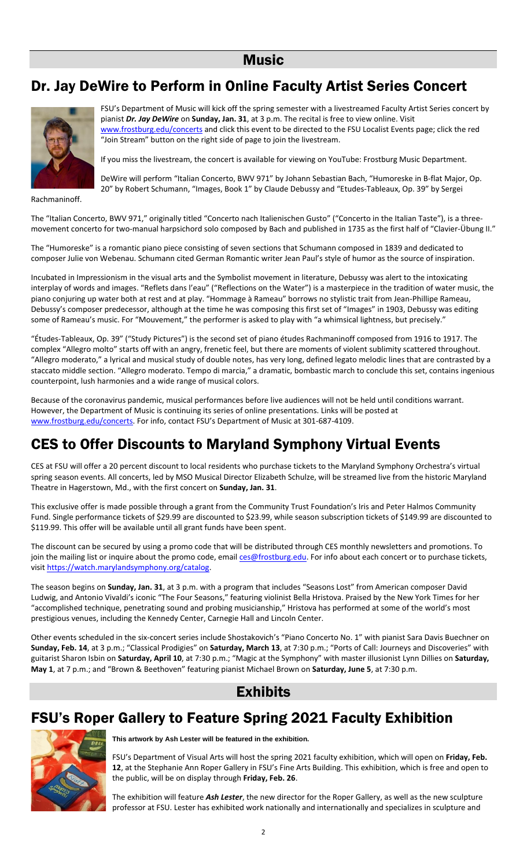#### **Music**

## Dr. Jay DeWire to Perform in Online Faculty Artist Series Concert



FSU's Department of Music will kick off the spring semester with a livestreamed Faculty Artist Series concert by pianist *Dr. Jay DeWire* on **Sunday, Jan. 31**, at 3 p.m. The recital is free to view online. Visit [www.frostburg.edu/concerts](http://www.frostburg.edu/concerts) and click this event to be directed to the FSU Localist Events page; click the red "Join Stream" button on the right side of page to join the livestream.

If you miss the livestream, the concert is available for viewing on YouTube: Frostburg Music Department.

DeWire will perform "Italian Concerto, BWV 971" by Johann Sebastian Bach, "Humoreske in B-flat Major, Op. 20" by Robert Schumann, "Images, Book 1" by Claude Debussy and "Etudes-Tableaux, Op. 39" by Sergei

Rachmaninoff.

The "Italian Concerto, BWV 971," originally titled "Concerto nach Italienischen Gusto" ("Concerto in the Italian Taste"), is a threemovement concerto for two-manual harpsichord solo composed by Bach and published in 1735 as the first half of "Clavier-Übung II."

The "Humoreske" is a romantic piano piece consisting of seven sections that Schumann composed in 1839 and dedicated to composer Julie von Webenau. Schumann cited German Romantic writer Jean Paul's style of humor as the source of inspiration.

Incubated in Impressionism in the visual arts and the Symbolist movement in literature, Debussy was alert to the intoxicating interplay of words and images. "Reflets dans l'eau" ("Reflections on the Water") is a masterpiece in the tradition of water music, the piano conjuring up water both at rest and at play. "Hommage à Rameau" borrows no stylistic trait from Jean-Phillipe Rameau, Debussy's composer predecessor, although at the time he was composing this first set of "Images" in 1903, Debussy was editing some of Rameau's music. For "Mouvement," the performer is asked to play with "a whimsical lightness, but precisely."

"Études-Tableaux, Op. 39" ("Study Pictures") is the second set of piano études Rachmaninoff composed from 1916 to 1917. The complex "Allegro molto" starts off with an angry, frenetic feel, but there are moments of violent sublimity scattered throughout. "Allegro moderato," a lyrical and musical study of double notes, has very long, defined legato melodic lines that are contrasted by a staccato middle section. "Allegro moderato. Tempo di marcia," a dramatic, bombastic march to conclude this set, contains ingenious counterpoint, lush harmonies and a wide range of musical colors.

Because of the coronavirus pandemic, musical performances before live audiences will not be held until conditions warrant. However, the Department of Music is continuing its series of online presentations. Links will be posted at [www.frostburg.edu/concerts.](http://www.frostburg.edu/concerts) For info, contact FSU's Department of Music at 301-687-4109.

## CES to Offer Discounts to Maryland Symphony Virtual Events

CES at FSU will offer a 20 percent discount to local residents who purchase tickets to the Maryland Symphony Orchestra's virtual spring season events. All concerts, led by MSO Musical Director Elizabeth Schulze, will be streamed live from the historic Maryland Theatre in Hagerstown, Md., with the first concert on **Sunday, Jan. 31**.

This exclusive offer is made possible through a grant from the Community Trust Foundation's Iris and Peter Halmos Community Fund. Single performance tickets of \$29.99 are discounted to \$23.99, while season subscription tickets of \$149.99 are discounted to \$119.99. This offer will be available until all grant funds have been spent.

The discount can be secured by using a promo code that will be distributed through CES monthly newsletters and promotions. To join the mailing list or inquire about the promo code, email [ces@frostburg.edu.](mailto:ces@frostburg.edu) For info about each concert or to purchase tickets, visi[t https://watch.marylandsymphony.org/catalog.](https://watch.marylandsymphony.org/catalog)

The season begins on **Sunday, Jan. 31**, at 3 p.m. with a program that includes "Seasons Lost" from American composer David Ludwig, and Antonio Vivaldi's iconic "The Four Seasons," featuring violinist Bella Hristova. Praised by the New York Times for her "accomplished technique, penetrating sound and probing musicianship," Hristova has performed at some of the world's most prestigious venues, including the Kennedy Center, Carnegie Hall and Lincoln Center.

Other events scheduled in the six-concert series include Shostakovich's "Piano Concerto No. 1" with pianist Sara Davis Buechner on **Sunday, Feb. 14**, at 3 p.m.; "Classical Prodigies" on **Saturday, March 13**, at 7:30 p.m.; "Ports of Call: Journeys and Discoveries" with guitarist Sharon Isbin on **Saturday, April 10**, at 7:30 p.m.; "Magic at the Symphony" with master illusionist Lynn Dillies on **Saturday, May 1**, at 7 p.m.; and "Brown & Beethoven" featuring pianist Michael Brown on **Saturday, June 5**, at 7:30 p.m.

#### Exhibits

#### FSU's Roper Gallery to Feature Spring 2021 Faculty Exhibition



**This artwork by Ash Lester will be featured in the exhibition.**

FSU's Department of Visual Arts will host the spring 2021 faculty exhibition, which will open on **Friday, Feb. 12**, at the Stephanie Ann Roper Gallery in FSU's Fine Arts Building. This exhibition, which is free and open to the public, will be on display through **Friday, Feb. 26**.

The exhibition will feature *Ash Lester*, the new director for the Roper Gallery, as well as the new sculpture professor at FSU. Lester has exhibited work nationally and internationally and specializes in sculpture and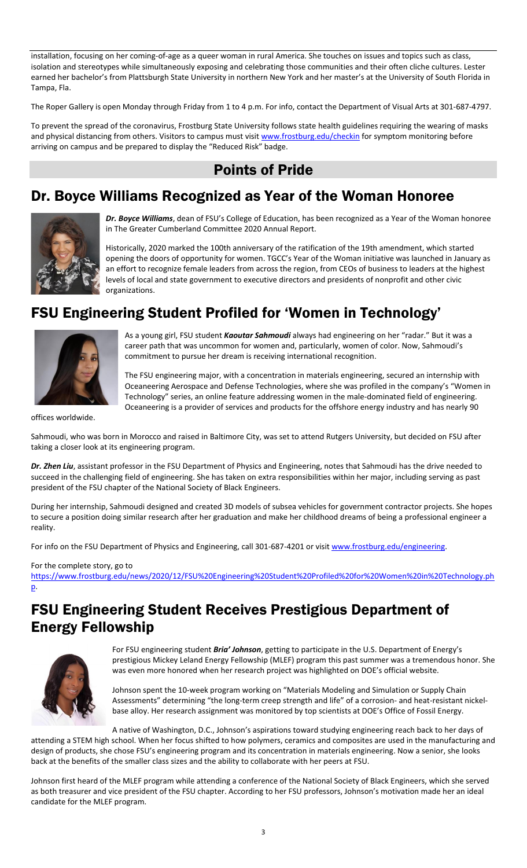installation, focusing on her coming-of-age as a queer woman in rural America. She touches on issues and topics such as class, isolation and stereotypes while simultaneously exposing and celebrating those communities and their often cliche cultures. Lester earned her bachelor's from Plattsburgh State University in northern New York and her master's at the University of South Florida in Tampa, Fla.

The Roper Gallery is open Monday through Friday from 1 to 4 p.m. For info, contact the Department of Visual Arts at 301-687-4797.

To prevent the spread of the coronavirus, Frostburg State University follows state health guidelines requiring the wearing of masks and physical distancing from others. Visitors to campus must visi[t www.frostburg.edu/checkin](http://www.frostburg.edu/checkin)</u> for symptom monitoring before arriving on campus and be prepared to display the "Reduced Risk" badge.

## Points of Pride

## Dr. Boyce Williams Recognized as Year of the Woman Honoree



*Dr. Boyce Williams*, dean of FSU's College of Education, has been recognized as a Year of the Woman honoree in The Greater Cumberland Committee 2020 Annual Report.

Historically, 2020 marked the 100th anniversary of the ratification of the 19th amendment, which started opening the doors of opportunity for women. TGCC's Year of the Woman initiative was launched in January as an effort to recognize female leaders from across the region, from CEOs of business to leaders at the highest levels of local and state government to executive directors and presidents of nonprofit and other civic organizations.

# FSU Engineering Student Profiled for 'Women in Technology'



As a young girl, FSU student *Kaoutar Sahmoudi* always had engineering on her "radar." But it was a career path that was uncommon for women and, particularly, women of color. Now, Sahmoudi's commitment to pursue her dream is receiving international recognition.

The FSU engineering major, with a concentration in materials engineering, secured an internship with Oceaneering Aerospace and Defense Technologies, where she was profiled in the company's "Women in Technology" series, an online feature addressing women in the male-dominated field of engineering. Oceaneering is a provider of services and products for the offshore energy industry and has nearly 90

offices worldwide.

Sahmoudi, who was born in Morocco and raised in Baltimore City, was set to attend Rutgers University, but decided on FSU after taking a closer look at its engineering program.

*Dr. Zhen Liu*, assistant professor in the FSU Department of Physics and Engineering, notes that Sahmoudi has the drive needed to succeed in the challenging field of engineering. She has taken on extra responsibilities within her major, including serving as past president of the FSU chapter of the National Society of Black Engineers.

During her internship, Sahmoudi designed and created 3D models of subsea vehicles for government contractor projects. She hopes to secure a position doing similar research after her graduation and make her childhood dreams of being a professional engineer a reality.

For info on the FSU Department of Physics and Engineering, call 301-687-4201 or visit [www.frostburg.edu/engineering.](http://www.frostburg.edu/engineering)

#### For the complete story, go to

[https://www.frostburg.edu/news/2020/12/FSU%20Engineering%20Student%20Profiled%20for%20Women%20in%20Technology.ph](https://www.frostburg.edu/news/2020/12/FSU%20Engineering%20Student%20Profiled%20for%20Women%20in%20Technology.php) [p.](https://www.frostburg.edu/news/2020/12/FSU%20Engineering%20Student%20Profiled%20for%20Women%20in%20Technology.php)

### FSU Engineering Student Receives Prestigious Department of Energy Fellowship



For FSU engineering student *Bria' Johnson*, getting to participate in the U.S. Department of Energy's prestigious Mickey Leland Energy Fellowship (MLEF) program this past summer was a tremendous honor. She was even more honored when her research project was highlighted on DOE's official website.

Johnson spent the 10-week program working on "Materials Modeling and Simulation or Supply Chain Assessments" determining "the long-term creep strength and life" of a corrosion- and heat-resistant nickelbase alloy. Her research assignment was monitored by top scientists at DOE's Office of Fossil Energy.

A native of Washington, D.C., Johnson's aspirations toward studying engineering reach back to her days of

attending a STEM high school. When her focus shifted to how polymers, ceramics and composites are used in the manufacturing and design of products, she chose FSU's engineering program and its concentration in materials engineering. Now a senior, she looks back at the benefits of the smaller class sizes and the ability to collaborate with her peers at FSU.

Johnson first heard of the MLEF program while attending a conference of the National Society of Black Engineers, which she served as both treasurer and vice president of the FSU chapter. According to her FSU professors, Johnson's motivation made her an ideal candidate for the MLEF program.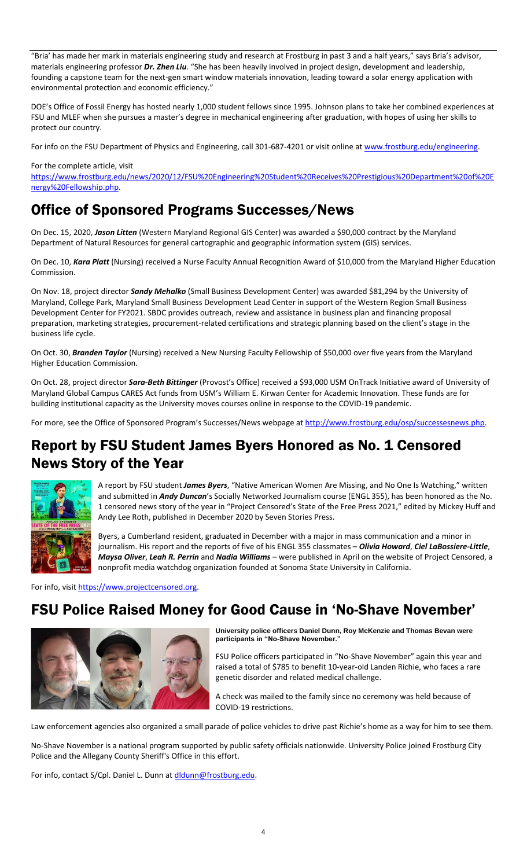"Bria' has made her mark in materials engineering study and research at Frostburg in past 3 and a half years," says Bria's advisor, materials engineering professor *Dr. Zhen Liu*. "She has been heavily involved in project design, development and leadership, founding a capstone team for the next-gen smart window materials innovation, leading toward a solar energy application with environmental protection and economic efficiency."

DOE's Office of Fossil Energy has hosted nearly 1,000 student fellows since 1995. Johnson plans to take her combined experiences at FSU and MLEF when she pursues a master's degree in mechanical engineering after graduation, with hopes of using her skills to protect our country.

For info on the FSU Department of Physics and Engineering, call 301-687-4201 or visit online a[t www.frostburg.edu/engineering.](http://www.frostburg.edu/engineering)

#### For the complete article, visit

[https://www.frostburg.edu/news/2020/12/FSU%20Engineering%20Student%20Receives%20Prestigious%20Department%20of%20E](https://www.frostburg.edu/news/2020/12/FSU%20Engineering%20Student%20Receives%20Prestigious%20Department%20of%20Energy%20Fellowship.php) [nergy%20Fellowship.php.](https://www.frostburg.edu/news/2020/12/FSU%20Engineering%20Student%20Receives%20Prestigious%20Department%20of%20Energy%20Fellowship.php)

#### Office of Sponsored Programs Successes/News

On Dec. 15, 2020, *Jason Litten* (Western Maryland Regional GIS Center) was awarded a \$90,000 contract by the Maryland Department of Natural Resources for general cartographic and geographic information system (GIS) services.

On Dec. 10, *Kara Platt* (Nursing) received a Nurse Faculty Annual Recognition Award of \$10,000 from the Maryland Higher Education Commission.

On Nov. 18, project director *Sandy Mehalko* (Small Business Development Center) was awarded \$81,294 by the University of Maryland, College Park, Maryland Small Business Development Lead Center in support of the Western Region Small Business Development Center for FY2021. SBDC provides outreach, review and assistance in business plan and financing proposal preparation, marketing strategies, procurement-related certifications and strategic planning based on the client's stage in the business life cycle.

On Oct. 30, *Branden Taylor* (Nursing) received a New Nursing Faculty Fellowship of \$50,000 over five years from the Maryland Higher Education Commission.

On Oct. 28, project director *Sara-Beth Bittinger* (Provost's Office) received a \$93,000 USM OnTrack Initiative award of University of Maryland Global Campus CARES Act funds from USM's William E. Kirwan Center for Academic Innovation. These funds are for building institutional capacity as the University moves courses online in response to the COVID-19 pandemic.

For more, see the Office of Sponsored Program's Successes/News webpage at [http://www.frostburg.edu/osp/successesnews.php.](http://www.frostburg.edu/osp/successesnews.php)

#### Report by FSU Student James Byers Honored as No. 1 Censored News Story of the Year



A report by FSU student *James Byers*, "Native American Women Are Missing, and No One Is Watching," written and submitted in *Andy Duncan*'s Socially Networked Journalism course (ENGL 355), has been honored as the No. 1 censored news story of the year in "Project Censored's State of the Free Press 2021," edited by Mickey Huff and Andy Lee Roth, published in December 2020 by Seven Stories Press.

Byers, a Cumberland resident, graduated in December with a major in mass communication and a minor in journalism. His report and the reports of five of his ENGL 355 classmates – *Olivia Howard*, *Ciel LaBossiere-Little*, *Maysa Oliver*, *Leah R. Perrin* and *Nadia Williams* – were published in April on the website of Project Censored, a nonprofit media watchdog organization founded at Sonoma State University in California.

For info, visit [https://www.projectcensored.org.](https://www.projectcensored.org/)

#### FSU Police Raised Money for Good Cause in 'No-Shave November'



**University police officers Daniel Dunn, Roy McKenzie and Thomas Bevan were participants in "No-Shave November."**

FSU Police officers participated in "No-Shave November" again this year and raised a total of \$785 to benefit 10-year-old Landen Richie, who faces a rare genetic disorder and related medical challenge.

A check was mailed to the family since no ceremony was held because of COVID-19 restrictions.

Law enforcement agencies also organized a small parade of police vehicles to drive past Richie's home as a way for him to see them.

No-Shave November is a national program supported by public safety officials nationwide. University Police joined Frostburg City Police and the Allegany County Sheriff's Office in this effort.

For info, contact S/Cpl. Daniel L. Dunn a[t dldunn@frostburg.edu.](mailto:dldunn@frostburg.edu)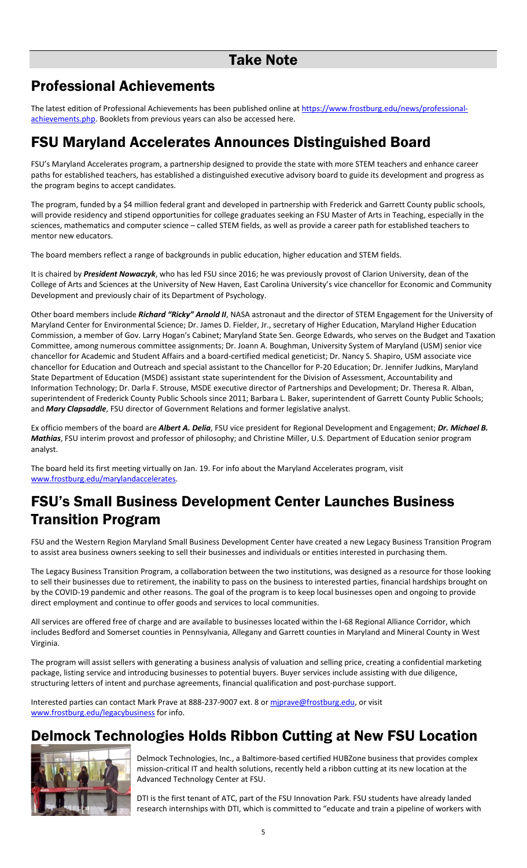# Professional Achievements

The latest edition of Professional Achievements has been published online a[t https://www.frostburg.edu/news/professional](https://www.frostburg.edu/news/professional-achievements.php)[achievements.php.](https://www.frostburg.edu/news/professional-achievements.php) Booklets from previous years can also be accessed here.

## FSU Maryland Accelerates Announces Distinguished Board

FSU's Maryland Accelerates program, a partnership designed to provide the state with more STEM teachers and enhance career paths for established teachers, has established a distinguished executive advisory board to guide its development and progress as the program begins to accept candidates.

The program, funded by a \$4 million federal grant and developed in partnership with Frederick and Garrett County public schools, will provide residency and stipend opportunities for college graduates seeking an FSU Master of Arts in Teaching, especially in the sciences, mathematics and computer science – called STEM fields, as well as provide a career path for established teachers to mentor new educators.

The board members reflect a range of backgrounds in public education, higher education and STEM fields.

It is chaired by *President Nowaczyk*, who has led FSU since 2016; he was previously provost of Clarion University, dean of the College of Arts and Sciences at the University of New Haven, East Carolina University's vice chancellor for Economic and Community Development and previously chair of its Department of Psychology.

Other board members include *Richard "Ricky" Arnold II*, NASA astronaut and the director of STEM Engagement for the University of Maryland Center for Environmental Science; Dr. James D. Fielder, Jr., secretary of Higher Education, Maryland Higher Education Commission, a member of Gov. Larry Hogan's Cabinet; Maryland State Sen. George Edwards, who serves on the Budget and Taxation Committee, among numerous committee assignments; Dr. Joann A. Boughman, University System of Maryland (USM) senior vice chancellor for Academic and Student Affairs and a board-certified medical geneticist; Dr. Nancy S. Shapiro, USM associate vice chancellor for Education and Outreach and special assistant to the Chancellor for P-20 Education; Dr. Jennifer Judkins, Maryland State Department of Education (MSDE) assistant state superintendent for the Division of Assessment, Accountability and Information Technology; Dr. Darla F. Strouse, MSDE executive director of Partnerships and Development; Dr. Theresa R. Alban, superintendent of Frederick County Public Schools since 2011; Barbara L. Baker, superintendent of Garrett County Public Schools; and *Mary Clapsaddle*, FSU director of Government Relations and former legislative analyst.

Ex officio members of the board are *Albert A. Delia*, FSU vice president for Regional Development and Engagement; *Dr. Michael B. Mathias*, FSU interim provost and professor of philosophy; and Christine Miller, U.S. Department of Education senior program analyst.

The board held its first meeting virtually on Jan. 19. For info about the Maryland Accelerates program, visit [www.frostburg.edu/marylandaccelerates.](http://www.frostburg.edu/marylandaccelerates)

## FSU's Small Business Development Center Launches Business Transition Program

FSU and the Western Region Maryland Small Business Development Center have created a new Legacy Business Transition Program to assist area business owners seeking to sell their businesses and individuals or entities interested in purchasing them.

The Legacy Business Transition Program, a collaboration between the two institutions, was designed as a resource for those looking to sell their businesses due to retirement, the inability to pass on the business to interested parties, financial hardships brought on by the COVID-19 pandemic and other reasons. The goal of the program is to keep local businesses open and ongoing to provide direct employment and continue to offer goods and services to local communities.

All services are offered free of charge and are available to businesses located within the I-68 Regional Alliance Corridor, which includes Bedford and Somerset counties in Pennsylvania, Allegany and Garrett counties in Maryland and Mineral County in West Virginia.

The program will assist sellers with generating a business analysis of valuation and selling price, creating a confidential marketing package, listing service and introducing businesses to potential buyers. Buyer services include assisting with due diligence, structuring letters of intent and purchase agreements, financial qualification and post-purchase support.

Interested parties can contact Mark Prave at 888-237-9007 ext. 8 or miprave@frostburg.edu, or visit [www.frostburg.edu/legacybusiness](http://www.frostburg.edu/legacybusiness) for info.

## Delmock Technologies Holds Ribbon Cutting at New FSU Location



Delmock Technologies, Inc., a Baltimore-based certified HUBZone business that provides complex mission-critical IT and health solutions, recently held a ribbon cutting at its new location at the Advanced Technology Center at FSU.

DTI is the first tenant of ATC, part of the FSU Innovation Park. FSU students have already landed research internships with DTI, which is committed to "educate and train a pipeline of workers with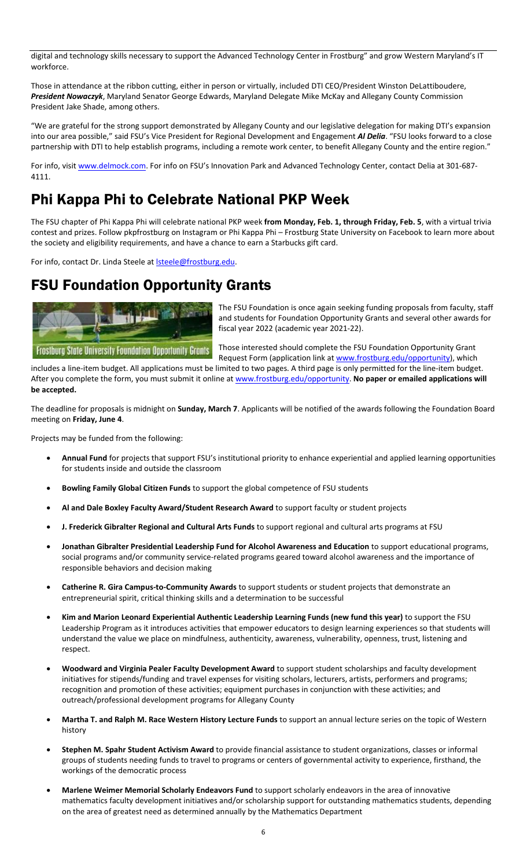digital and technology skills necessary to support the Advanced Technology Center in Frostburg" and grow Western Maryland's IT workforce.

Those in attendance at the ribbon cutting, either in person or virtually, included DTI CEO/President Winston DeLattiboudere, *President Nowaczyk*, Maryland Senator George Edwards, Maryland Delegate Mike McKay and Allegany County Commission President Jake Shade, among others.

"We are grateful for the strong support demonstrated by Allegany County and our legislative delegation for making DTI's expansion into our area possible," said FSU's Vice President for Regional Development and Engagement *Al Delia*. "FSU looks forward to a close partnership with DTI to help establish programs, including a remote work center, to benefit Allegany County and the entire region."

For info, visit [www.delmock.com](http://www.delmock.com/). For info on FSU's Innovation Park and Advanced Technology Center, contact Delia at 301-687-4111.

# Phi Kappa Phi to Celebrate National PKP Week

The FSU chapter of Phi Kappa Phi will celebrate national PKP week **from Monday, Feb. 1, through Friday, Feb. 5**, with a virtual trivia contest and prizes. Follow pkpfrostburg on Instagram or Phi Kappa Phi – Frostburg State University on Facebook to learn more about the society and eligibility requirements, and have a chance to earn a Starbucks gift card.

For info, contact Dr. Linda Steele at **Isteele@frostburg.edu**.

### FSU Foundation Opportunity Grants



The FSU Foundation is once again seeking funding proposals from faculty, staff and students for Foundation Opportunity Grants and several other awards for fiscal year 2022 (academic year 2021-22).

Those interested should complete the FSU Foundation Opportunity Grant Request Form (application link a[t www.frostburg.edu/opportunity\)](https://forms.frostburg.edu/21), which

includes a line-item budget. All applications must be limited to two pages. A third page is only permitted for the line-item budget. After you complete the form, you must submit it online a[t www.frostburg.edu/opportunity.](https://forms.frostburg.edu/21) **No paper or emailed applications will be accepted.**

The deadline for proposals is midnight on **Sunday, March 7**. Applicants will be notified of the awards following the Foundation Board meeting on **Friday, June 4**.

Projects may be funded from the following:

- **Annual Fund** for projects that support FSU's institutional priority to enhance experiential and applied learning opportunities for students inside and outside the classroom
- **Bowling Family Global Citizen Funds** to support the global competence of FSU students
- **Al and Dale Boxley Faculty Award/Student Research Award** to support faculty or student projects
- **J. Frederick Gibralter Regional and Cultural Arts Funds** to support regional and cultural arts programs at FSU
- **Jonathan Gibralter Presidential Leadership Fund for Alcohol Awareness and Education** to support educational programs, social programs and/or community service-related programs geared toward alcohol awareness and the importance of responsible behaviors and decision making
- **Catherine R. Gira Campus-to-Community Awards** to support students or student projects that demonstrate an entrepreneurial spirit, critical thinking skills and a determination to be successful
- **Kim and Marion Leonard Experiential Authentic Leadership Learning Funds (new fund this year)** to support the FSU Leadership Program as it introduces activities that empower educators to design learning experiences so that students will understand the value we place on mindfulness, authenticity, awareness, vulnerability, openness, trust, listening and respect.
- **Woodward and Virginia Pealer Faculty Development Award** to support student scholarships and faculty development initiatives for stipends/funding and travel expenses for visiting scholars, lecturers, artists, performers and programs; recognition and promotion of these activities; equipment purchases in conjunction with these activities; and outreach/professional development programs for Allegany County
- **Martha T. and Ralph M. Race Western History Lecture Funds** to support an annual lecture series on the topic of Western history
- **Stephen M. Spahr Student Activism Award** to provide financial assistance to student organizations, classes or informal groups of students needing funds to travel to programs or centers of governmental activity to experience, firsthand, the workings of the democratic process
- **Marlene Weimer Memorial Scholarly Endeavors Fund** to support scholarly endeavors in the area of innovative mathematics faculty development initiatives and/or scholarship support for outstanding mathematics students, depending on the area of greatest need as determined annually by the Mathematics Department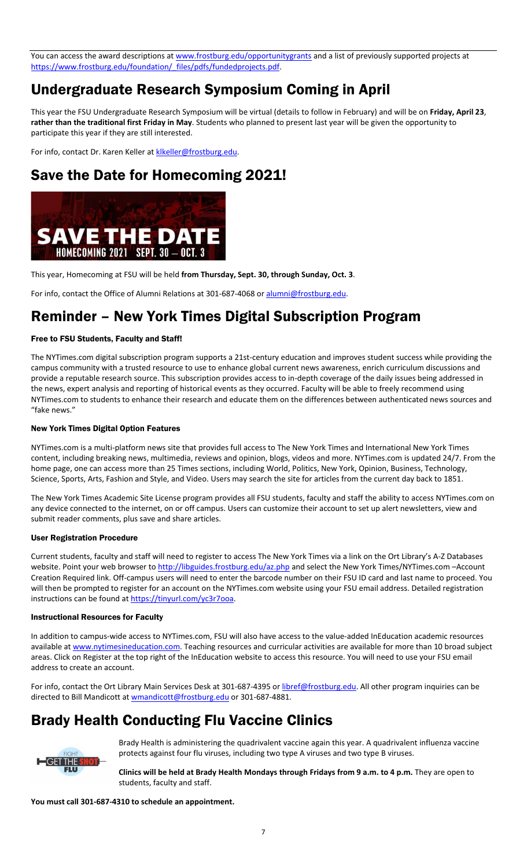You can access the award descriptions at [www.frostburg.edu/opportunitygrants](https://www.frostburg.edu/foundation/Annual-Fund/opportunity-grants.php) and a list of previously supported projects at [https://www.frostburg.edu/foundation/\\_files/pdfs/fundedprojects.pdf.](https://www.frostburg.edu/foundation/_files/pdfs/fundedprojects.pdf)

## Undergraduate Research Symposium Coming in April

This year the FSU Undergraduate Research Symposium will be virtual (details to follow in February) and will be on **Friday, April 23**, **rather than the traditional first Friday in May**. Students who planned to present last year will be given the opportunity to participate this year if they are still interested.

For info, contact Dr. Karen Keller at klkeller@frostburg.edu.

# Save the Date for Homecoming 2021!



This year, Homecoming at FSU will be held **from Thursday, Sept. 30, through Sunday, Oct. 3**.

For info, contact the Office of Alumni Relations at 301-687-4068 o[r alumni@frostburg.edu.](mailto:alumni@frostburg.edu)

## Reminder – New York Times Digital Subscription Program

#### Free to FSU Students, Faculty and Staff!

The NYTimes.com digital subscription program supports a 21st-century education and improves student success while providing the campus community with a trusted resource to use to enhance global current news awareness, enrich curriculum discussions and provide a reputable research source. This subscription provides access to in-depth coverage of the daily issues being addressed in the news, expert analysis and reporting of historical events as they occurred. Faculty will be able to freely recommend using NYTimes.com to students to enhance their research and educate them on the differences between authenticated news sources and "fake news."

#### New York Times Digital Option Features

NYTimes.com is a multi-platform news site that provides full access to The New York Times and International New York Times content, including breaking news, multimedia, reviews and opinion, blogs, videos and more. NYTimes.com is updated 24/7. From the home page, one can access more than 25 Times sections, including World, Politics, New York, Opinion, Business, Technology, Science, Sports, Arts, Fashion and Style, and Video. Users may search the site for articles from the current day back to 1851.

The New York Times Academic Site License program provides all FSU students, faculty and staff the ability to access NYTimes.com on any device connected to the internet, on or off campus. Users can customize their account to set up alert newsletters, view and submit reader comments, plus save and share articles.

#### User Registration Procedure

Current students, faculty and staff will need to register to access The New York Times via a link on the Ort Library's A-Z Databases website. Point your web browser t[o http://libguides.frostburg.edu/az.php](http://libguides.frostburg.edu/az.php) and select the New York Times/NYTimes.com –Account Creation Required link. Off-campus users will need to enter the barcode number on their FSU ID card and last name to proceed. You will then be prompted to register for an account on the NYTimes.com website using your FSU email address. Detailed registration instructions can be found at https://tinyurl.com/yc3r7ooa.

#### Instructional Resources for Faculty

In addition to campus-wide access to NYTimes.com, FSU will also have access to the value-added InEducation academic resources available a[t www.nytimesineducation.com.](http://www.nytimesineducation.com/) Teaching resources and curricular activities are available for more than 10 broad subject areas. Click on Register at the top right of the InEducation website to access this resource. You will need to use your FSU email address to create an account.

For info, contact the Ort Library Main Services Desk at 301-687-4395 o[r libref@frostburg.edu.](mailto:libref@frostburg.edu) All other program inquiries can be directed to Bill Mandicott at **wmandicott@frostburg.edu** or 301-687-4881.

## Brady Health Conducting Flu Vaccine Clinics



Brady Health is administering the quadrivalent vaccine again this year. A quadrivalent influenza vaccine protects against four flu viruses, including two type A viruses and two type B viruses.

**Clinics will be held at Brady Health Mondays through Fridays from 9 a.m. to 4 p.m.** They are open to students, faculty and staff.

**You must call 301-687-4310 to schedule an appointment.**